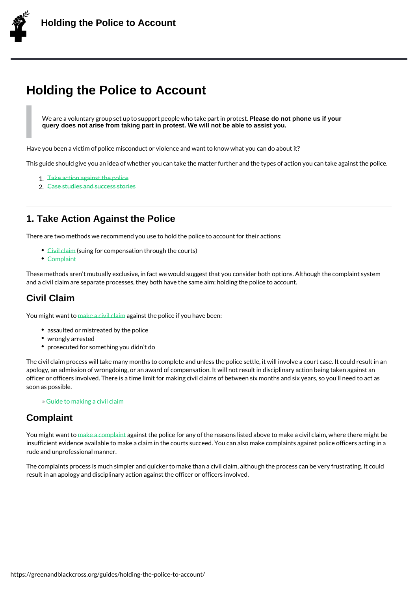# Holding the Police to Account

We are a voluntary group set up to support pePdepabe dow mhoot phone we us part in protest. query does not arise from taking part in protest. We will not be able to assist you.

Have you been a victim of police misconduct or violence and want to know what you can d

This guide should give you an idea of whether you can take the matter further and the ty<sub>|</sub>

- 1.Take action against the police
- 2.Case studies and success stories

## 1. T[ake Action Against the](/guides/holding-the-police-to-account/2-case-studies/) Police

There are two methods we recommend you use to hold the police to account for their acti

- $\bullet$  Civil clasiming for compensation through the courts)
- Complaint

These methods aren t mutually exclusive, in fact we would suggest that you consider both and [a civil](/guides/making-a-claim-against-the-police/) claim are separate processes, they both have the same aim: holding the polic

## Civil [Claim](/guides/making-a-complaint-against-the-police/)

You might want to civil gainst the police if you have been:

- assaulted or mistreated by the police
- wrongly arrested
- prosec[uted for so](/guides/making-a-claim-against-the-police/)mething you didn t do

The civil claim process will take many months to complete and unless the police settle, i apology, an admission of wrongdoing, or an award of compensation. It will not result in d officer or officers involved. There is a time limit for making civil claims of between six m soon as possible.

» Guide to making a civil claim

## **Complaint**

You might want to complaintst the police for any of the reasons listed above to make a c insufficient evidence available to make a claim in the courts succeed. You can also make rude and unprofessional manner.

The compla[ints proces](/guides/making-a-complaint-against-the-police/)s is much simpler and quicker to make than a civil claim, although result in an apology and disciplinary action against the officer or officers involved.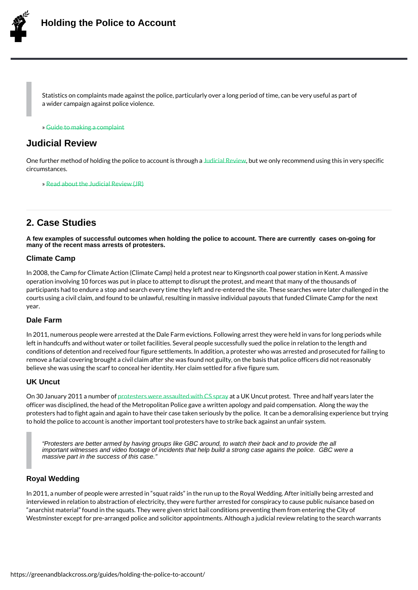Statistics on complaints made against the police, particularly over a long period of ti a wider campaign against police violence.

» Guide to making a complaint

## Judicial Review

One [further method of](/guides/making-a-complaint-against-the-police/) holding the police utbicale to Querbiu its with recommend using this in very circumstances.

» Read about the Judicial Review (JR)

## 2. C[ase Studies](/guides/what-is-a-judicial-review/)

A few examples of successful outcomes when holding the police to account. There are currently cases on-going for many of the recent mass arrests of protesters.

#### Climate Camp

In 2008, the Camp for Climate Action (Climate Camp) held a protest near to Kingsnorth co operation involving 10 forces was put in place to attempt to disrupt the protest, and mea participants had to endure a stop and search every time they left and re-entered the site courts using a civil claim, and found to be unlawful, resulting in massive individual payo year.

#### Dale Farm

In 2011, numerous people were arrested at the Dale Farm evictions. Following arrest the left in handcuffs and without water or toilet facilities. Several people successfully sued t conditions of detention and received four figure settlements. In addition, a protester who remove a facial covering brought a civil claim after she was found not guilty, on the basi believe she was using the scarf to conceal her identity. Her claim settled for a five figur

### UK Uncut

On 30 January 2011 a number souvere assaulted a with UK SU a puat y protest. Three and half year officer was disciplined, the head of the Metropolitan Police gave a written apology and p protesters had to fight again and again to have their case taken seriously by the police. to hold the police to account is another important tool protesters have to strike back aga

"Protesters are better armed by having groups like GBC around, to watch their back and to provide the all important witnesses and video footage of incidents that help build a strong case agains the police. GBC were a massive part in the success of this case."

#### Royal Wedding

In 2011, a number of people were arrested in squat raids in the run up to the Royal Wee interviewed in relation to abstraction of electricity, they were further arrested for conspi anarchist material found in the squats. They were given strict bail conditions preventin Westminster except for pre-arranged police and solicitor appointments. Although a judici